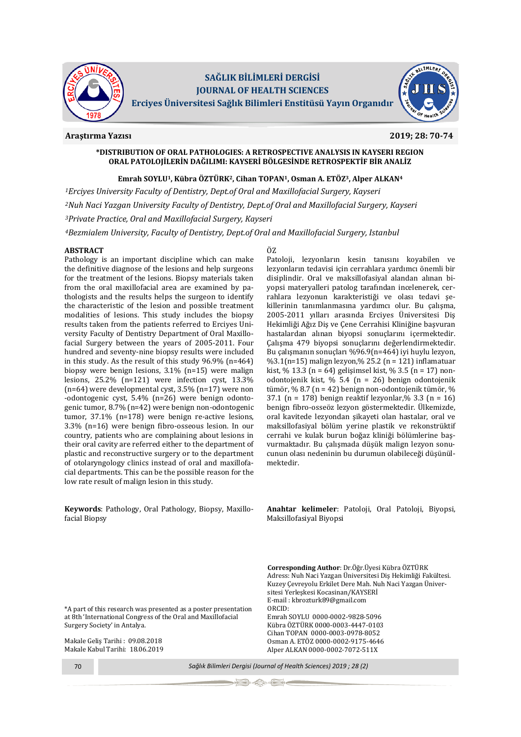

# **SAĞLIK BİLİMLERİ DERGİSİ JOURNAL OF HEALTH SCIENCES**

**Erciyes Üniversitesi Sağlık Bilimleri Enstitüsü Yayın Organıdır**

# **Araştırma Yazısı 2019; 28: 70-74**

# **\*DISTRIBUTION OF ORAL PATHOLOGIES: A RETROSPECTIVE ANALYSIS IN KAYSERI REGION ORAL PATOLOJİLERİN DAĞILIMI: KAYSERİ BÖLGESİNDE RETROSPEKTİF BİR ANALİZ**

# **Emrah SOYLU1, Kübra ÖZTÜRK2, Cihan TOPAN1, Osman A. ETÖZ3, Alper ALKAN<sup>4</sup>**

*<sup>1</sup>Erciyes University Faculty of Dentistry, Dept.of Oral and Maxillofacial Surgery, Kayseri <sup>2</sup>Nuh Naci Yazgan University Faculty of Dentistry, Dept.of Oral and Maxillofacial Surgery, Kayseri <sup>3</sup>Private Practice, Oral and Maxillofacial Surgery, Kayseri*

*<sup>4</sup>Bezmialem University, Faculty of Dentistry, Dept.of Oral and Maxillofacial Surgery, Istanbul*

# **ABSTRACT**

Pathology is an important discipline which can make the definitive diagnose of the lesions and help surgeons for the treatment of the lesions. Biopsy materials taken from the oral maxillofacial area are examined by pathologists and the results helps the surgeon to identify the characteristic of the lesion and possible treatment modalities of lesions. This study includes the biopsy results taken from the patients referred to Erciyes University Faculty of Dentistry Department of Oral Maxillofacial Surgery between the years of 2005-2011. Four hundred and seventy-nine biopsy results were included in this study. As the result of this study 96.9% (n=464) biopsy were benign lesions, 3.1% (n=15) were malign lesions, 25.2% (n=121) were infection cyst, 13.3% (n=64) were developmental cyst, 3.5% (n=17) were non -odontogenic cyst, 5.4% (n=26) were benign odontogenic tumor, 8.7% (n=42) were benign non-odontogenic tumor, 37.1% (n=178) were benign re-active lesions, 3.3% (n=16) were benign fibro-osseous lesion. In our country, patients who are complaining about lesions in their oral cavity are referred either to the department of plastic and reconstructive surgery or to the department of otolaryngology clinics instead of oral and maxillofacial departments. This can be the possible reason for the low rate result of malign lesion in this study.

**Keywords**: Pathology, Oral Pathology, Biopsy, Maxillofacial Biopsy

# ÖZ

Patoloji, lezyonların kesin tanısını koyabilen ve lezyonların tedavisi için cerrahlara yardımcı önemli bir disiplindir. Oral ve maksillofasiyal alandan alınan biyopsi materyalleri patolog tarafından incelenerek, cerrahlara lezyonun karakteristiği ve olası tedavi şekillerinin tanımlanmasına yardımcı olur. Bu çalışma, 2005-2011 yılları arasında Erciyes Üniversitesi Diş Hekimliği Ağız Diş ve Çene Cerrahisi Kliniğine başvuran hastalardan alınan biyopsi sonuçlarını içermektedir. Çalışma 479 biyopsi sonuçlarını değerlendirmektedir. Bu çalışmanın sonuçları %96.9(n=464) iyi huylu lezyon, %3.1(n=15) malign lezyon,% 25.2 (n = 121) inflamatuar kist, % 13.3 (n = 64) gelişimsel kist, % 3.5 (n = 17) nonodontojenik kist, % 5.4 (n = 26) benign odontojenik tümör,  $\%$  8.7 (n = 42) benign non-odontojenik tümör,  $\%$ 37.1 (n = 178) benign reaktif lezyonlar, % 3.3 (n = 16) benign fibro-osseöz lezyon göstermektedir. Ülkemizde, oral kavitede lezyondan şikayeti olan hastalar, oral ve maksillofasiyal bölüm yerine plastik ve rekonstrüktif cerrahi ve kulak burun boğaz kliniği bölümlerine başvurmaktadır. Bu çalışmada düşük malign lezyon sonucunun olası nedeninin bu durumun olabileceği düşünülmektedir.

**Anahtar kelimeler**: Patoloji, Oral Patoloji, Biyopsi, Maksillofasiyal Biyopsi

**Corresponding Author**: Dr.Öğr.Üyesi Kübra ÖZTÜRK Adress: Nuh Naci Yazgan Üniversitesi Diş Hekimliği Fakültesi. Kuzey Çevreyolu Erkilet Dere Mah. Nuh Naci Yazgan Üniver-

sitesi Yerleşkesi Kocasinan/KAYSERİ E-mail : [kbrozturk89@gmail.com](mailto:kbrozturk89@gmail.com)

Emrah SOYLU 0000-0002-9828-5096 Kübra ÖZTÜRK 0000-0003-4447-0103 Cihan TOPAN 0000-0003-0978-8052 Osman A. ETÖZ 0000-0002-9175-4646 Alper ALKAN 0000-0002-7072-511X

\*A part of this research was presented as a poster presentation at 8th 'International Congress of the Oral and Maxillofacial Surgery Society' in Antalya.

Makale Geliş Tarihi : 09.08.2018 Makale Kabul Tarihi: 18.06.2019

70 *Sağlık Bilimleri Dergisi (Journal of Health Sciences) 2019 ; 28 (2)*

ORCID: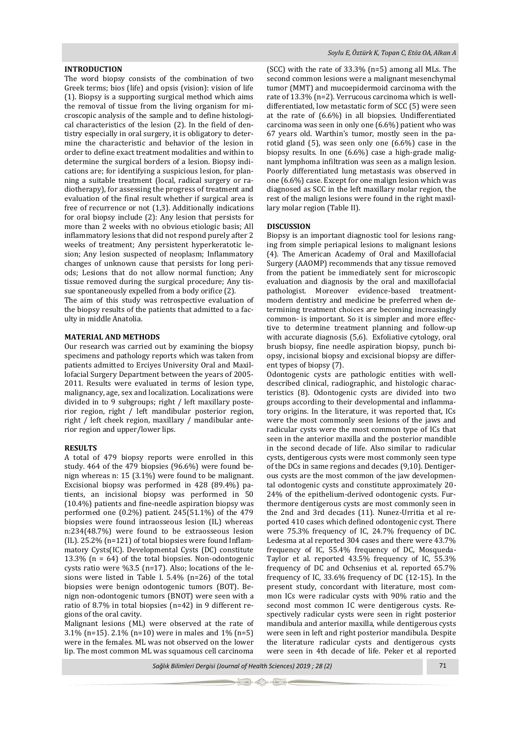### **INTRODUCTION**

The word biopsy consists of the combination of two Greek terms; bios (life) and opsis (vision): vision of life (1). Biopsy is a supporting surgical method which aims the removal of tissue from the living organism for microscopic analysis of the sample and to define histological characteristics of the lesion (2). In the field of dentistry especially in oral surgery, it is obligatory to determine the characteristic and behavior of the lesion in order to define exact treatment modalities and within to determine the surgical borders of a lesion. Biopsy indications are; for identifying a suspicious lesion, for planning a suitable treatment (local, radical surgery or radiotherapy), for assessing the progress of treatment and evaluation of the final result whether if surgical area is free of recurrence or not (1,3). Additionally indications for oral biopsy include (2): Any lesion that persists for more than 2 weeks with no obvious etiologic basis; All inflammatory lesions that did not respond purely after 2 weeks of treatment; Any persistent hyperkeratotic lesion; Any lesion suspected of neoplasm; Inflammatory changes of unknown cause that persists for long periods; Lesions that do not allow normal function; Any tissue removed during the surgical procedure; Any tissue spontaneously expelled from a body orifice (2).

The aim of this study was retrospective evaluation of the biopsy results of the patients that admitted to a faculty in middle Anatolia.

#### **MATERIAL AND METHODS**

Our research was carried out by examining the biopsy specimens and pathology reports which was taken from patients admitted to Erciyes University Oral and Maxillofacial Surgery Department between the years of 2005- 2011. Results were evaluated in terms of lesion type, malignancy, age, sex and localization. Localizations were divided in to 9 subgroups; right / left maxillary posterior region, right / left mandibular posterior region, right / left cheek region, maxillary / mandibular anterior region and upper/lower lips.

#### **RESULTS**

A total of 479 biopsy reports were enrolled in this study. 464 of the 479 biopsies (96.6%) were found benign whereas n: 15 (3.1%) were found to be malignant. Excisional biopsy was performed in 428 (89.4%) patients, an incisional biopsy was performed in 50 (10.4%) patients and fine-needle aspiration biopsy was performed one (0.2%) patient. 245(51.1%) of the 479 biopsies were found intraosseous lesion (IL) whereas n:234(48.7%) were found to be extraosseous lesion (IL). 25.2% (n=121) of total biopsies were found Inflammatory Cysts(IC). Developmental Cysts (DC) constitute 13.3% (n = 64) of the total biopsies. Non-odontogenic cysts ratio were %3.5 (n=17). Also; locations of the lesions were listed in Table I. 5.4% (n=26) of the total biopsies were benign odontogenic tumors (BOT). Benign non-odontogenic tumors (BNOT) were seen with a ratio of 8.7% in total biopsies (n=42) in 9 different regions of the oral cavity.

Malignant lesions (ML) were observed at the rate of 3.1% (n=15). 2.1% (n=10) were in males and 1% (n=5) were in the females. ML was not observed on the lower lip. The most common ML was squamous cell carcinoma

(SCC) with the rate of 33.3% (n=5) among all MLs. The second common lesions were a malignant mesenchymal tumor (MMT) and mucoepidermoid carcinoma with the rate of 13.3% (n=2). Verrucous carcinoma which is welldifferentiated, low metastatic form of SCC (5) were seen at the rate of (6.6%) in all biopsies. Undifferentiated carcinoma was seen in only one (6.6%) patient who was 67 years old. Warthin's tumor, mostly seen in the parotid gland (5), was seen only one (6.6%) case in the biopsy results. In one (6.6%) case a high-grade malignant lymphoma infiltration was seen as a malign lesion. Poorly differentiated lung metastasis was observed in one (6.6%) case. Except for one malign lesion which was diagnosed as SCC in the left maxillary molar region, the rest of the malign lesions were found in the right maxillary molar region (Table II).

#### **DISCUSSION**

Biopsy is an important diagnostic tool for lesions ranging from simple periapical lesions to malignant lesions (4). The American Academy of Oral and Maxillofacial Surgery (AAOMP) recommends that any tissue removed from the patient be immediately sent for microscopic evaluation and diagnosis by the oral and maxillofacial pathologist. Moreover evidence-based treatmentmodern dentistry and medicine be preferred when determining treatment choices are becoming increasingly common- is important. So it is simpler and more effective to determine treatment planning and follow-up with accurate diagnosis (5,6). Exfoliative cytology, oral brush biopsy, fine needle aspiration biopsy, punch biopsy, incisional biopsy and excisional biopsy are different types of biopsy (7).

Odontogenic cysts are pathologic entities with welldescribed clinical, radiographic, and histologic characteristics (8). Odontogenic cysts are divided into two groups according to their developmental and inflammatory origins. In the literature, it was reported that, ICs were the most commonly seen lesions of the jaws and radicular cysts were the most common type of ICs that seen in the anterior maxilla and the posterior mandible in the second decade of life. Also similar to radicular cysts, dentigerous cysts were most commonly seen type of the DCs in same regions and decades (9,10). Dentigerous cysts are the most common of the jaw developmental odontogenic cysts and constitute approximately 20- 24% of the epithelium-derived odontogenic cysts. Furthermore dentigerous cysts are most commonly seen in the 2nd and 3rd decades (11). Nunez-Urritia et al reported 410 cases which defined odontogenic cyst. There were 75.3% frequency of IC, 24.7% frequency of DC. Ledesma at al reported 304 cases and there were 43.7% frequency of IC, 55.4% frequency of DC, Mosqueda-Taylor et al. reported 43.5% frequency of IC, 55.3% frequency of DC and Ochsenius et al. reported 65.7% frequency of IC, 33.6% frequency of DC (12-15). In the present study, concordant with literature, most common ICs were radicular cysts with 90% ratio and the second most common IC were dentigerous cysts. Respectively radicular cysts were seen in right posterior mandibula and anterior maxilla, while dentigerous cysts were seen in left and right posterior mandibula. Despite the literature radicular cysts and dentigerous cysts were seen in 4th decade of life. Peker et al reported

*Sağlık Bilimleri Dergisi (Journal of Health Sciences) 2019 ; 28 (2)* 71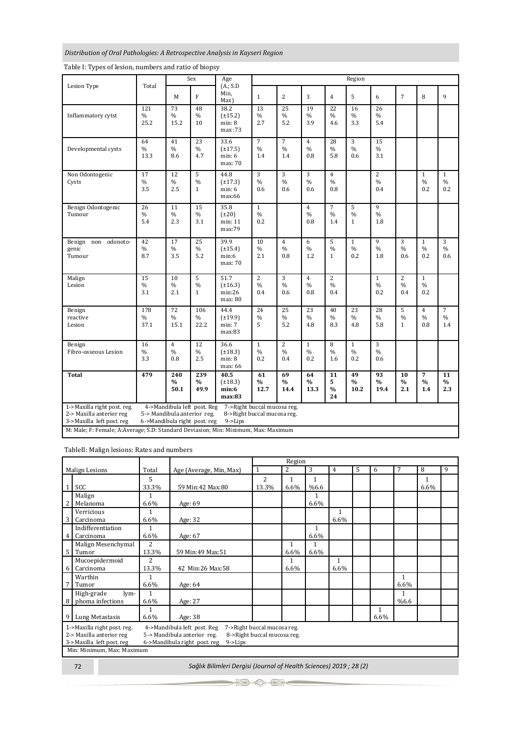# *Distribution of Oral Pathologies: A Retrospective Analysis in Kayseri Region*

|                                                                                                                                                                                                                                                                | Total                          | Sex                           |                                    | Age                                       | Region                                 |                                        |                                        |                                             |                                      |                                        |                                        |                                        |                                        |  |
|----------------------------------------------------------------------------------------------------------------------------------------------------------------------------------------------------------------------------------------------------------------|--------------------------------|-------------------------------|------------------------------------|-------------------------------------------|----------------------------------------|----------------------------------------|----------------------------------------|---------------------------------------------|--------------------------------------|----------------------------------------|----------------------------------------|----------------------------------------|----------------------------------------|--|
| Lesion Type                                                                                                                                                                                                                                                    |                                | M                             | F                                  | (A:SD)<br>Min.<br>Max)                    | $\mathbf{1}$                           | $\overline{2}$                         | 3                                      | $\overline{4}$                              | 5                                    | 6                                      | $\overline{7}$                         | 8                                      | 9                                      |  |
| Inflammatory cytst                                                                                                                                                                                                                                             | 121<br>%<br>25.2               | 73<br>$\frac{0}{0}$<br>15.2   | 48<br>%<br>10                      | 38.2<br>$(\pm 15.2)$<br>min: 8<br>max:73  | 13<br>$\%$<br>2.7                      | 25<br>$\%$<br>5.2                      | 19<br>%<br>3.9                         | 22<br>$\frac{9}{6}$<br>4.6                  | 16<br>$\%$<br>3.3                    | 26<br>$\%$<br>5.4                      |                                        |                                        |                                        |  |
| Developmental cysts                                                                                                                                                                                                                                            | 64<br>%<br>13.3                | 41<br>$\frac{0}{0}$<br>8.6    | 23<br>$\%$<br>4.7                  | 33.6<br>$(\pm 17.5)$<br>min: 6<br>max: 70 | $\overline{7}$<br>$\frac{0}{0}$<br>1.4 | $\overline{7}$<br>$\frac{0}{0}$<br>1.4 | $\overline{4}$<br>$\frac{0}{0}$<br>0.8 | 28<br>$\frac{0}{6}$<br>5.8                  | 3<br>$\frac{0}{6}$<br>0.6            | 15<br>$\frac{0}{0}$<br>3.1             |                                        |                                        |                                        |  |
| Non Odontogenic<br>Cysts                                                                                                                                                                                                                                       | $\overline{17}$<br>$\%$<br>3.5 | 12<br>$\frac{0}{0}$<br>2.5    | 5<br>$\frac{0}{0}$<br>$\mathbf{1}$ | 44.8<br>$(\pm 17.3)$<br>min: 6<br>max:66  | 3<br>$\frac{0}{6}$<br>0.6              | 3<br>$\frac{0}{0}$<br>0.6              | 3<br>$\frac{0}{0}$<br>0.6              | $\overline{4}$<br>$\frac{9}{6}$<br>0.8      |                                      | $\overline{c}$<br>$\frac{0}{0}$<br>0.4 |                                        | $\mathbf{1}$<br>$\frac{0}{0}$<br>0.2   | $\mathbf{1}$<br>$\frac{0}{0}$<br>0.2   |  |
| Benign Odontogenic<br>Tumour                                                                                                                                                                                                                                   | 26<br>$\%$<br>5.4              | 11<br>$\%$<br>2.3             | 15<br>$\frac{0}{0}$<br>3.1         | 35.8<br>$(\pm 20)$<br>min: 11<br>max:79   | $\mathbf{1}$<br>$\frac{0}{6}$<br>0.2   |                                        | $\overline{4}$<br>$\frac{0}{0}$<br>0.8 | $\overline{7}$<br>$\frac{0}{0}$<br>1.4      | 5<br>$\frac{0}{0}$<br>$\mathbf{1}$   | 9<br>$\frac{0}{0}$<br>1.8              |                                        |                                        |                                        |  |
| odonoto-<br>Benign non<br>genic<br>Tumour                                                                                                                                                                                                                      | 42<br>$\%$<br>8.7              | 17<br>$\%$<br>3.5             | 25<br>$\%$<br>5.2                  | 39.9<br>$(\pm 15.4)$<br>min:6<br>max: 70  | 10<br>$\frac{0}{6}$<br>2.1             | $\overline{4}$<br>$\%$<br>0.8          | 6<br>$\%$<br>1.2                       | 5<br>$\frac{0}{0}$<br>$\mathbf{1}$          | $\mathbf{1}$<br>$\frac{0}{6}$<br>0.2 | 9<br>$\%$<br>1.8                       | 3<br>$\%$<br>0.6                       | $\mathbf{1}$<br>$\%$<br>0.2            | 3<br>$\%$<br>0.6                       |  |
| Malign<br>Lesion                                                                                                                                                                                                                                               | 15<br>$\%$<br>3.1              | 10<br>$\frac{0}{0}$<br>2.1    | 5<br>$\frac{0}{0}$<br>$\mathbf{1}$ | 51.7<br>$(\pm 16.3)$<br>min:26<br>max: 80 | $\overline{2}$<br>$\frac{0}{0}$<br>0.4 | 3<br>$\frac{0}{0}$<br>0.6              | $\overline{4}$<br>$\frac{0}{0}$<br>0.8 | $\overline{2}$<br>$\frac{0}{0}$<br>0.4      |                                      | $\mathbf{1}$<br>$\frac{0}{0}$<br>0.2   | $\overline{c}$<br>$\frac{0}{0}$<br>0.4 | $\mathbf{1}$<br>$\frac{0}{0}$<br>0.2   |                                        |  |
| Benign<br>reactive<br>Lesion                                                                                                                                                                                                                                   | 178<br>$\%$<br>37.1            | 72<br>$\%$<br>15.1            | 106<br>$\%$<br>22.2                | 44.4<br>$(\pm 19.9)$<br>min: 7<br>max:83  | 24<br>$\frac{0}{0}$<br>5               | 25<br>$\%$<br>5.2                      | $\overline{23}$<br>$\%$<br>4.8         | 40<br>$\%$<br>8.3                           | 23<br>$\%$<br>4.8                    | 28<br>$\%$<br>5.8                      | 5<br>$\%$<br>$\mathbf{1}$              | $\overline{4}$<br>$\frac{0}{0}$<br>0.8 | $\overline{7}$<br>$\frac{0}{6}$<br>1.4 |  |
| Benign<br>Fibro-osseous Lesion                                                                                                                                                                                                                                 | 16<br>%<br>3.3                 | $\overline{4}$<br>$\%$<br>0.8 | 12<br>$\frac{0}{0}$<br>2.5         | 36.6<br>$(\pm 18.3)$<br>min: 8<br>max: 66 | $\mathbf{1}$<br>$\%$<br>0.2            | $\overline{c}$<br>$\frac{0}{0}$<br>0.4 | $\mathbf{1}$<br>%<br>0.2               | 8<br>$\frac{0}{0}$<br>1.6                   | $\mathbf{1}$<br>$\%$<br>0.2          | 3<br>$\%$<br>0.6                       |                                        |                                        |                                        |  |
| <b>Total</b>                                                                                                                                                                                                                                                   | 479                            | 240<br>$\frac{0}{0}$<br>50.1  | 239<br>$\frac{0}{0}$<br>49.9       | 40.5<br>$(\pm 18.3)$<br>min:6<br>max:83   | 61<br>$\frac{0}{0}$<br>12.7            | 69<br>$\frac{0}{0}$<br>14.4            | 64<br>$\frac{0}{0}$<br>13.3            | $\overline{11}$<br>5<br>$\frac{0}{0}$<br>24 | 49<br>$\frac{0}{0}$<br>10.2          | 93<br>$\frac{0}{0}$<br>19.4            | 10<br>$\frac{0}{0}$<br>2.1             | $\overline{7}$<br>$\frac{0}{0}$<br>1.4 | 11<br>$\frac{0}{0}$<br>2.3             |  |
| 1->Maxilla right post. reg.<br>4->Mandibula left post. Reg<br>7->Right buccal mucosa reg.<br>2-> Maxilla anterior reg<br>5-> Mandibula anterior reg.<br>8->Right buccal mucosa reg.<br>3->Maxilla left post. reg<br>6->Mandibula right post. reg<br>$9 -$ Lips |                                |                               |                                    |                                           |                                        |                                        |                                        |                                             |                                      |                                        |                                        |                                        |                                        |  |
| M: Male; F: Female; A:Average; S.D: Standard Deviasion; Min: Minimum, Max: Maximum                                                                                                                                                                             |                                |                               |                                    |                                           |                                        |                                        |                                        |                                             |                                      |                                        |                                        |                                        |                                        |  |

# Table I: Types of lesion, numbers and ratio of biopsy

TableII: Malign lesions: Rates and numbers

|                                                                                           |                    |                |                         | Region       |      |      |              |   |      |              |      |   |
|-------------------------------------------------------------------------------------------|--------------------|----------------|-------------------------|--------------|------|------|--------------|---|------|--------------|------|---|
| <b>Malign Lesions</b>                                                                     |                    | Total          | Age (Average, Min, Max) | $\mathbf{1}$ | 2    | 3    | 4            | 5 | 6    | 7            | 8    | 9 |
|                                                                                           |                    | 5              |                         | 2            | 1    | 1    |              |   |      |              | 1    |   |
|                                                                                           | SCC                | 33.3%          | 59 Min: 42 Max: 80      | 13.3%        | 6.6% | %6.6 |              |   |      |              | 6.6% |   |
|                                                                                           | Malign             | 1              |                         |              |      |      |              |   |      |              |      |   |
|                                                                                           | Melanoma           | 6.6%           | Age: 69                 |              |      | 6.6% |              |   |      |              |      |   |
|                                                                                           | Verricious         | 1              |                         |              |      |      | $\mathbf{1}$ |   |      |              |      |   |
| 3                                                                                         | Carcinoma          | 6.6%           | Age: 32                 |              |      |      | 6.6%         |   |      |              |      |   |
|                                                                                           | Indifferentiation  | 1              |                         |              |      | 1    |              |   |      |              |      |   |
| $\overline{4}$                                                                            | Carcinoma          | 6.6%           | Age: 67                 |              |      | 6.6% |              |   |      |              |      |   |
|                                                                                           | Malign Mesenchymal | $\overline{c}$ |                         |              | 1    | 1    |              |   |      |              |      |   |
| 5                                                                                         | Tumor              | 13.3%          | 59 Min:49 Max:51        |              | 6.6% | 6.6% |              |   |      |              |      |   |
|                                                                                           | Mucoepidermoid     | $\overline{c}$ |                         |              | 1    |      | 1            |   |      |              |      |   |
| 6                                                                                         | Carcinoma          | 13.3%          | 42 Min:26 Max:58        |              | 6.6% |      | 6.6%         |   |      |              |      |   |
|                                                                                           | Warthin            | 1              |                         |              |      |      |              |   |      | $\mathbf{1}$ |      |   |
| 7                                                                                         | Tumor              | 6.6%           | Age: 64                 |              |      |      |              |   |      | 6.6%         |      |   |
|                                                                                           | High-grade<br>lym- | 1              |                         |              |      |      |              |   |      | 1            |      |   |
| 8                                                                                         | phoma infections   | 6.6%           | Age: 27                 |              |      |      |              |   |      | %6.6         |      |   |
|                                                                                           |                    | 1              |                         |              |      |      |              |   | 1    |              |      |   |
| 9                                                                                         | Lung Metastasis    | 6.6%           | Age: 38                 |              |      |      |              |   | 6.6% |              |      |   |
| 4->Mandibula left post. Reg<br>7->Right buccal mucosa reg.<br>1->Maxilla right post. reg. |                    |                |                         |              |      |      |              |   |      |              |      |   |
| 2-> Maxilla anterior reg<br>5-> Mandibula anterior reg.<br>8->Right buccal mucosa reg.    |                    |                |                         |              |      |      |              |   |      |              |      |   |
| 3->Maxilla left post. reg<br>6->Mandibula right post. reg<br>$9 -$ Lips                   |                    |                |                         |              |      |      |              |   |      |              |      |   |
| Min: Minimum, Max: Maximum                                                                |                    |                |                         |              |      |      |              |   |      |              |      |   |
| Sağlık Bilimleri Dergisi (Journal of Health Sciences) 2019 ; 28 (2)                       |                    |                |                         |              |      |      |              |   |      |              |      |   |
| 72                                                                                        |                    |                |                         |              |      |      |              |   |      |              |      |   |

4. in -6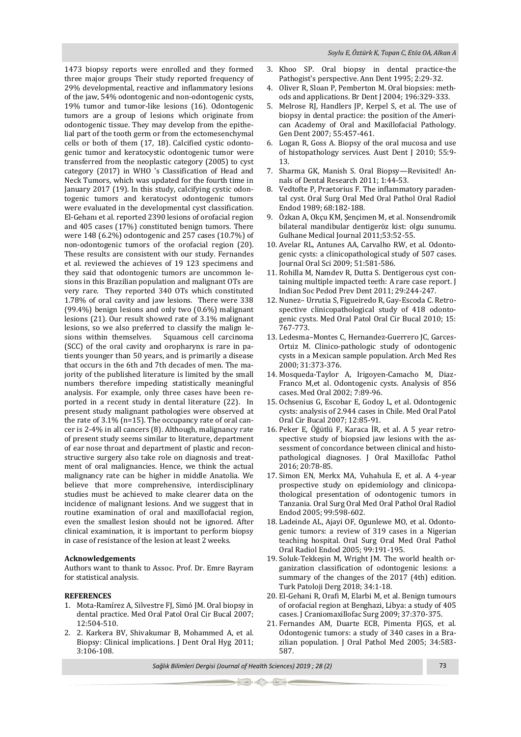1473 biopsy reports were enrolled and they formed three major groups Their study reported frequency of 29% developmental, reactive and inflammatory lesions of the jaw, 54% odontogenic and non-odontogenic cysts, 19% tumor and tumor-like lesions (16). Odontogenic tumors are a group of lesions which originate from odontogenic tissue. They may develop from the epithelial part of the tooth germ or from the ectomesenchymal cells or both of them (17, 18). Calcified cystic odontogenic tumor and keratocystic odontogenic tumor were transferred from the neoplastic category (2005) to cyst category (2017) in WHO 's Classification of Head and Neck Tumors, which was updated for the fourth time in January 2017 (19). In this study, calcifying cystic odontogenic tumors and keratocyst odontogenic tumors were evaluated in the developmental cyst classification. El-Gehanı et al. reported 2390 lesions of orofacial region and 405 cases (17%) constituted benign tumors. There were 148 (6.2%) odontogenic and 257 cases (10.7%) of non-odontogenic tumors of the orofacial region (20). These results are consistent with our study. Fernandes et al. reviewed the achieves of 19 123 specimens and they said that odontogenic tumors are uncommon lesions in this Brazilian population and malignant OTs are very rare. They reported 340 OTs which constituted 1.78% of oral cavity and jaw lesions. There were 338 (99.4%) benign lesions and only two (0.6%) malignant lesions (21). Our result showed rate of 3.1% malignant lesions, so we also preferred to classify the malign lesions within themselves. Squamous cell carcinoma (SCC) of the oral cavity and oropharynx is rare in patients younger than 50 years, and is primarily a disease that occurs in the 6th and 7th decades of men. The majority of the published literature is limited by the small numbers therefore impeding statistically meaningful analysis. For example, only three cases have been reported in a recent study in dental literature (22). In present study malignant pathologies were observed at the rate of 3.1% (n=15). The occupancy rate of oral cancer is 2-4% in all cancers (8). Although, malignancy rate of present study seems similar to literature, department of ear nose throat and department of plastic and reconstructive surgery also take role on diagnosis and treatment of oral malignancies. Hence, we think the actual malignancy rate can be higher in middle Anatolia. We believe that more comprehensive, interdisciplinary studies must be achieved to make clearer data on the incidence of malignant lesions. And we suggest that in routine examination of oral and maxillofacial region, even the smallest lesion should not be ignored. After clinical examination, it is important to perform biopsy in case of resistance of the lesion at least 2 weeks.

#### **Acknowledgements**

Authors want to thank to Assoc. Prof. Dr. Emre Bayram for statistical analysis.

#### **REFERENCES**

- 1. Mota-Ramírez A, Silvestre FJ, Simó JM. Oral biopsy in dental practice. Med Oral Patol Oral Cir Bucal 2007; 12:504-510.
- 2. 2. Karkera BV, Shivakumar B, Mohammed A, et al. Biopsy: Clinical implications. J Dent Oral Hyg 2011; 3:106-108.
- 3. Khoo SP. Oral biopsy in dental practice-the Pathogist's perspective. Ann Dent 1995; 2:29-32.
- 4. Oliver R, Sloan P, Pemberton M. Oral biopsies: methods and applications. Br Dent J 2004; 196:329-333.
- 5. Melrose RJ, Handlers JP, Kerpel S, et al. The use of biopsy in dental practice: the position of the American Academy of Oral and Maxillofacial Pathology. Gen Dent 2007; 55:457-461.
- 6. Logan R, Goss A. Biopsy of the oral mucosa and use of histopathology services. Aust Dent J 2010; 55:9- 13.
- 7. Sharma GK, Manish S. Oral Biopsy—Revisited! Annals of Dental Research 2011; 1:44-53.
- 8. Vedtofte P, Praetorius F. The inflammatory paradental cyst. Oral Surg Oral Med Oral Pathol Oral Radiol Endod 1989; 68:182-188.
- 9. Özkan A, Okçu KM, Şençimen M, et al. Nonsendromik bilateral mandibular dentigeröz kist: olgu sunumu. Gulhane Medical Journal 2011;53:52-55.
- 10. Avelar RL, Antunes AA, Carvalho RW, et al. Odontogenic cysts: a clinicopathological study of 507 cases. Journal Oral Sci 2009; 51:581-586.
- 11. Rohilla M, Namdev R, Dutta S. Dentigerous cyst containing multiple impacted teeth: A rare case report. J Indian Soc Pedod Prev Dent 2011; 29:244-247.
- 12. Nunez– Urrutia S, Figueiredo R, Gay-Escoda C. Retrospective clinicopathological study of 418 odontogenic cysts. Med Oral Patol Oral Cir Bucal 2010; 15: 767-773.
- 13. Ledesma–Montes C, Hernandez-Guerrero JC, Garces-Ortıiz M. Clinico-pathologic study of odontogenic cysts in a Mexican sample population. Arch Med Res 2000; 31:373-376.
- 14. Mosqueda-Taylor A, Irigoyen-Camacho M, Diaz-Franco M,et al. Odontogenic cysts. Analysis of 856 cases. Med Oral 2002; 7:89-96.
- 15. Ochsenius G, Escobar E, Godoy L, et al. Odontogenic cysts: analysis of 2.944 cases in Chile. Med Oral Patol Oral Cir Bucal 2007; 12:85-91.
- 16. Peker E, Öğütlü F, Karaca İR, et al. A 5 year retrospective study of biopsied jaw lesions with the assessment of concordance between clinical and histopathological diagnoses. J Oral Maxillofac Pathol 2016; 20:78-85.
- 17. Simon EN, Merkx MA, Vuhahula E, et al. A 4-year prospective study on epidemiology and clinicopathological presentation of odontogenic tumors in Tanzania. Oral Surg Oral Med Oral Pathol Oral Radiol Endod 2005; 99:598-602.
- 18. Ladeinde AL, Ajayi OF, Ogunlewe MO, et al. Odontogenic tumors: a review of 319 cases in a Nigerian teaching hospital. Oral Surg Oral Med Oral Pathol Oral Radiol Endod 2005; 99:191-195.
- 19. Soluk-Tekkeşin M, Wright JM. The world health organization classification of odontogenic lesions: a summary of the changes of the 2017 (4th) edition. Turk Patoloji Derg 2018; 34:1-18.
- 20. El-Gehani R, Orafi M, Elarbi M, et al. Benign tumours of orofacial region at Benghazi, Libya: a study of 405 cases. J Craniomaxillofac Surg 2009; 37:370-375.
- 21. Fernandes AM, Duarte ECB, Pimenta FJGS, et al. Odontogenic tumors: a study of 340 cases in a Brazilian population. J Oral Pathol Med 2005; 34:583- 587.

*Sağlık Bilimleri Dergisi (Journal of Health Sciences) 2019 ; 28 (2)* 73